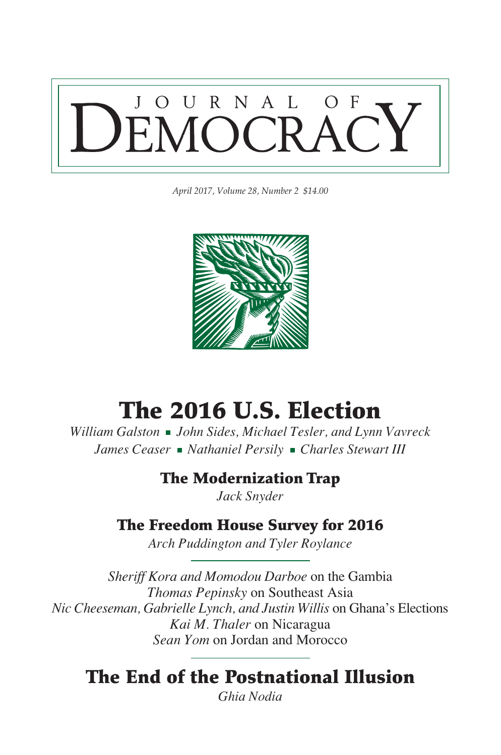

*April 2017, Volume 28, Number 2 \$14.00*



# The 2016 U.S. Election

*William Galston John Sides, Michael Tesler, and Lynn Vavreck James Ceaser Nathaniel Persily Charles Stewart III* 

## The Modernization Trap

*Jack Snyder*

## The Freedom House Survey for 2016

*Arch Puddington and Tyler Roylance*

*Sheriff Kora and Momodou Darboe* on the Gambia *Thomas Pepinsky* on Southeast Asia *Nic Cheeseman, Gabrielle Lynch, and Justin Willis* on Ghana's Elections *Kai M. Thaler* on Nicaragua *Sean Yom* on Jordan and Morocco

## The End of the Postnational Illusion

*Ghia Nodia*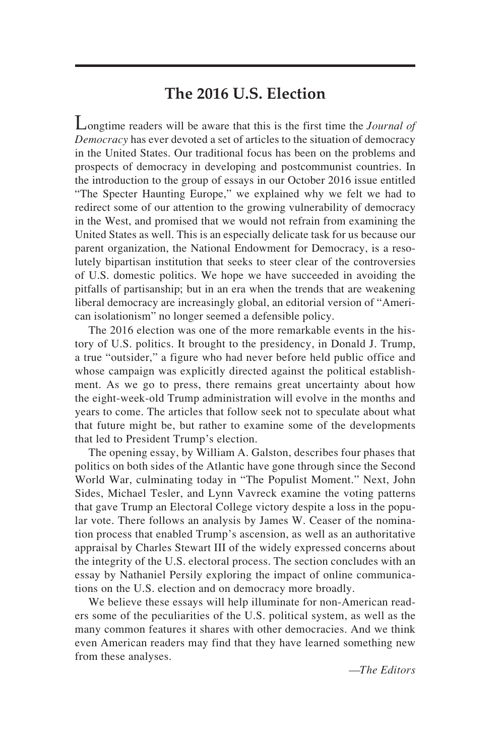### **The 2016 U.S. Election**

Longtime readers will be aware that this is the first time the *Journal of Democracy* has ever devoted a set of articles to the situation of democracy in the United States. Our traditional focus has been on the problems and prospects of democracy in developing and postcommunist countries. In the introduction to the group of essays in our October 2016 issue entitled "The Specter Haunting Europe," we explained why we felt we had to redirect some of our attention to the growing vulnerability of democracy in the West, and promised that we would not refrain from examining the United States as well. This is an especially delicate task for us because our parent organization, the National Endowment for Democracy, is a resolutely bipartisan institution that seeks to steer clear of the controversies of U.S. domestic politics. We hope we have succeeded in avoiding the pitfalls of partisanship; but in an era when the trends that are weakening liberal democracy are increasingly global, an editorial version of "American isolationism" no longer seemed a defensible policy.

The 2016 election was one of the more remarkable events in the history of U.S. politics. It brought to the presidency, in Donald J. Trump, a true "outsider," a figure who had never before held public office and whose campaign was explicitly directed against the political establishment. As we go to press, there remains great uncertainty about how the eight-week-old Trump administration will evolve in the months and years to come. The articles that follow seek not to speculate about what that future might be, but rather to examine some of the developments that led to President Trump's election.

The opening essay, by William A. Galston, describes four phases that politics on both sides of the Atlantic have gone through since the Second World War, culminating today in "The Populist Moment." Next, John Sides, Michael Tesler, and Lynn Vavreck examine the voting patterns that gave Trump an Electoral College victory despite a loss in the popular vote. There follows an analysis by James W. Ceaser of the nomination process that enabled Trump's ascension, as well as an authoritative appraisal by Charles Stewart III of the widely expressed concerns about the integrity of the U.S. electoral process. The section concludes with an essay by Nathaniel Persily exploring the impact of online communications on the U.S. election and on democracy more broadly.

We believe these essays will help illuminate for non-American readers some of the peculiarities of the U.S. political system, as well as the many common features it shares with other democracies. And we think even American readers may find that they have learned something new from these analyses.

*—The Editors*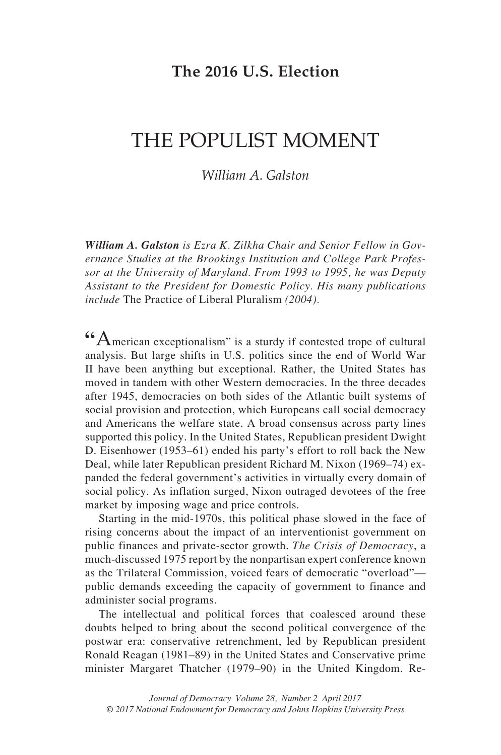## **The 2016 U.S. Election**

## The Populist Moment

#### *William A. Galston*

*William A. Galston is Ezra K. Zilkha Chair and Senior Fellow in Governance Studies at the Brookings Institution and College Park Professor at the University of Maryland. From 1993 to 1995, he was Deputy Assistant to the President for Domestic Policy. His many publications include* The Practice of Liberal Pluralism *(2004).*

**"**American exceptionalism" is a sturdy if contested trope of cultural analysis. But large shifts in U.S. politics since the end of World War II have been anything but exceptional. Rather, the United States has moved in tandem with other Western democracies. In the three decades after 1945, democracies on both sides of the Atlantic built systems of social provision and protection, which Europeans call social democracy and Americans the welfare state. A broad consensus across party lines supported this policy. In the United States, Republican president Dwight D. Eisenhower (1953–61) ended his party's effort to roll back the New Deal, while later Republican president Richard M. Nixon (1969–74) expanded the federal government's activities in virtually every domain of social policy. As inflation surged, Nixon outraged devotees of the free market by imposing wage and price controls.

Starting in the mid-1970s, this political phase slowed in the face of rising concerns about the impact of an interventionist government on public finances and private-sector growth. *The Crisis of Democracy*, a much-discussed 1975 report by the nonpartisan expert conference known as the Trilateral Commission, voiced fears of democratic "overload" public demands exceeding the capacity of government to finance and administer social programs.

The intellectual and political forces that coalesced around these doubts helped to bring about the second political convergence of the postwar era: conservative retrenchment, led by Republican president Ronald Reagan (1981–89) in the United States and Conservative prime minister Margaret Thatcher (1979–90) in the United Kingdom. Re-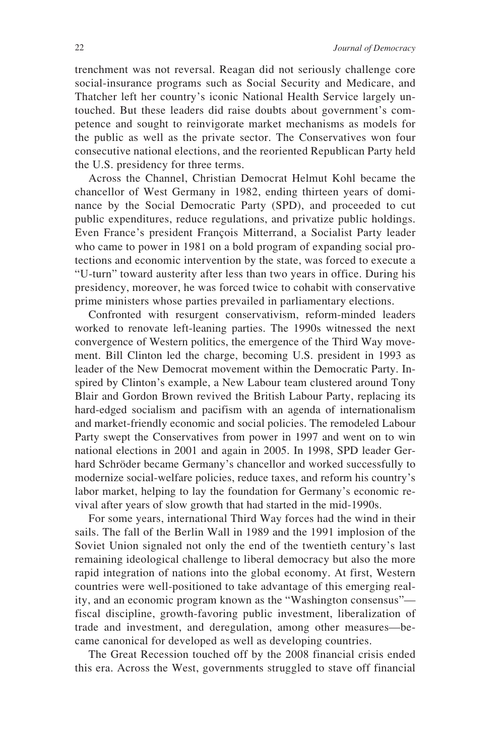trenchment was not reversal. Reagan did not seriously challenge core social-insurance programs such as Social Security and Medicare, and Thatcher left her country's iconic National Health Service largely untouched. But these leaders did raise doubts about government's competence and sought to reinvigorate market mechanisms as models for the public as well as the private sector. The Conservatives won four consecutive national elections, and the reoriented Republican Party held the U.S. presidency for three terms.

Across the Channel, Christian Democrat Helmut Kohl became the chancellor of West Germany in 1982, ending thirteen years of dominance by the Social Democratic Party (SPD), and proceeded to cut public expenditures, reduce regulations, and privatize public holdings. Even France's president François Mitterrand, a Socialist Party leader who came to power in 1981 on a bold program of expanding social protections and economic intervention by the state, was forced to execute a "U-turn" toward austerity after less than two years in office. During his presidency, moreover, he was forced twice to cohabit with conservative prime ministers whose parties prevailed in parliamentary elections.

Confronted with resurgent conservativism, reform-minded leaders worked to renovate left-leaning parties. The 1990s witnessed the next convergence of Western politics, the emergence of the Third Way movement. Bill Clinton led the charge, becoming U.S. president in 1993 as leader of the New Democrat movement within the Democratic Party. Inspired by Clinton's example, a New Labour team clustered around Tony Blair and Gordon Brown revived the British Labour Party, replacing its hard-edged socialism and pacifism with an agenda of internationalism and market-friendly economic and social policies. The remodeled Labour Party swept the Conservatives from power in 1997 and went on to win national elections in 2001 and again in 2005. In 1998, SPD leader Gerhard Schröder became Germany's chancellor and worked successfully to modernize social-welfare policies, reduce taxes, and reform his country's labor market, helping to lay the foundation for Germany's economic revival after years of slow growth that had started in the mid-1990s.

For some years, international Third Way forces had the wind in their sails. The fall of the Berlin Wall in 1989 and the 1991 implosion of the Soviet Union signaled not only the end of the twentieth century's last remaining ideological challenge to liberal democracy but also the more rapid integration of nations into the global economy. At first, Western countries were well-positioned to take advantage of this emerging reality, and an economic program known as the "Washington consensus" fiscal discipline, growth-favoring public investment, liberalization of trade and investment, and deregulation, among other measures—became canonical for developed as well as developing countries.

The Great Recession touched off by the 2008 financial crisis ended this era. Across the West, governments struggled to stave off financial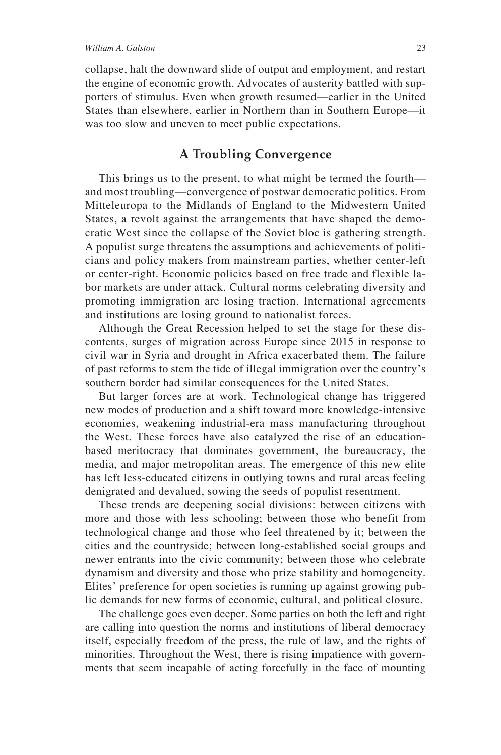collapse, halt the downward slide of output and employment, and restart the engine of economic growth. Advocates of austerity battled with supporters of stimulus. Even when growth resumed—earlier in the United States than elsewhere, earlier in Northern than in Southern Europe—it was too slow and uneven to meet public expectations.

#### **A Troubling Convergence**

This brings us to the present, to what might be termed the fourth and most troubling—convergence of postwar democratic politics. From Mitteleuropa to the Midlands of England to the Midwestern United States, a revolt against the arrangements that have shaped the democratic West since the collapse of the Soviet bloc is gathering strength. A populist surge threatens the assumptions and achievements of politicians and policy makers from mainstream parties, whether center-left or center-right. Economic policies based on free trade and flexible labor markets are under attack. Cultural norms celebrating diversity and promoting immigration are losing traction. International agreements and institutions are losing ground to nationalist forces.

Although the Great Recession helped to set the stage for these discontents, surges of migration across Europe since 2015 in response to civil war in Syria and drought in Africa exacerbated them. The failure of past reforms to stem the tide of illegal immigration over the country's southern border had similar consequences for the United States.

But larger forces are at work. Technological change has triggered new modes of production and a shift toward more knowledge-intensive economies, weakening industrial-era mass manufacturing throughout the West. These forces have also catalyzed the rise of an educationbased meritocracy that dominates government, the bureaucracy, the media, and major metropolitan areas. The emergence of this new elite has left less-educated citizens in outlying towns and rural areas feeling denigrated and devalued, sowing the seeds of populist resentment.

These trends are deepening social divisions: between citizens with more and those with less schooling; between those who benefit from technological change and those who feel threatened by it; between the cities and the countryside; between long-established social groups and newer entrants into the civic community; between those who celebrate dynamism and diversity and those who prize stability and homogeneity. Elites' preference for open societies is running up against growing public demands for new forms of economic, cultural, and political closure.

The challenge goes even deeper. Some parties on both the left and right are calling into question the norms and institutions of liberal democracy itself, especially freedom of the press, the rule of law, and the rights of minorities. Throughout the West, there is rising impatience with governments that seem incapable of acting forcefully in the face of mounting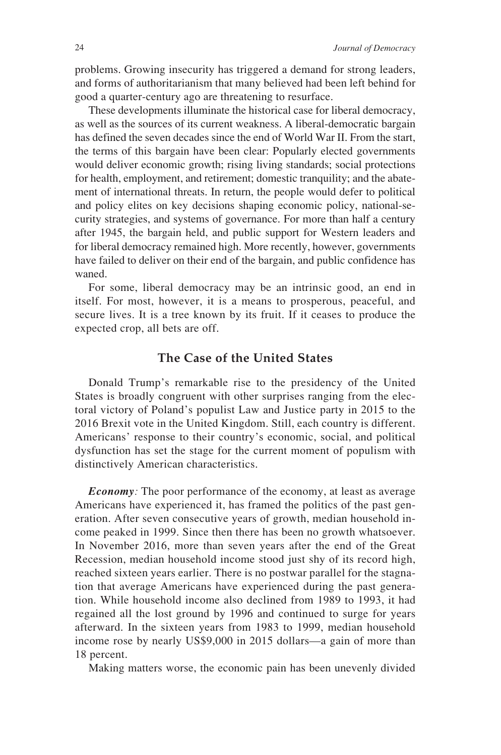problems. Growing insecurity has triggered a demand for strong leaders, and forms of authoritarianism that many believed had been left behind for good a quarter-century ago are threatening to resurface.

These developments illuminate the historical case for liberal democracy, as well as the sources of its current weakness. A liberal-democratic bargain has defined the seven decades since the end of World War II. From the start, the terms of this bargain have been clear: Popularly elected governments would deliver economic growth; rising living standards; social protections for health, employment, and retirement; domestic tranquility; and the abatement of international threats. In return, the people would defer to political and policy elites on key decisions shaping economic policy, national-security strategies, and systems of governance. For more than half a century after 1945, the bargain held, and public support for Western leaders and for liberal democracy remained high. More recently, however, governments have failed to deliver on their end of the bargain, and public confidence has waned.

For some, liberal democracy may be an intrinsic good, an end in itself. For most, however, it is a means to prosperous, peaceful, and secure lives. It is a tree known by its fruit. If it ceases to produce the expected crop, all bets are off.

#### **The Case of the United States**

Donald Trump's remarkable rise to the presidency of the United States is broadly congruent with other surprises ranging from the electoral victory of Poland's populist Law and Justice party in 2015 to the 2016 Brexit vote in the United Kingdom. Still, each country is different. Americans' response to their country's economic, social, and political dysfunction has set the stage for the current moment of populism with distinctively American characteristics.

*Economy:* The poor performance of the economy, at least as average Americans have experienced it, has framed the politics of the past generation. After seven consecutive years of growth, median household income peaked in 1999. Since then there has been no growth whatsoever. In November 2016, more than seven years after the end of the Great Recession, median household income stood just shy of its record high, reached sixteen years earlier. There is no postwar parallel for the stagnation that average Americans have experienced during the past generation. While household income also declined from 1989 to 1993, it had regained all the lost ground by 1996 and continued to surge for years afterward. In the sixteen years from 1983 to 1999, median household income rose by nearly US\$9,000 in 2015 dollars—a gain of more than 18 percent.

Making matters worse, the economic pain has been unevenly divided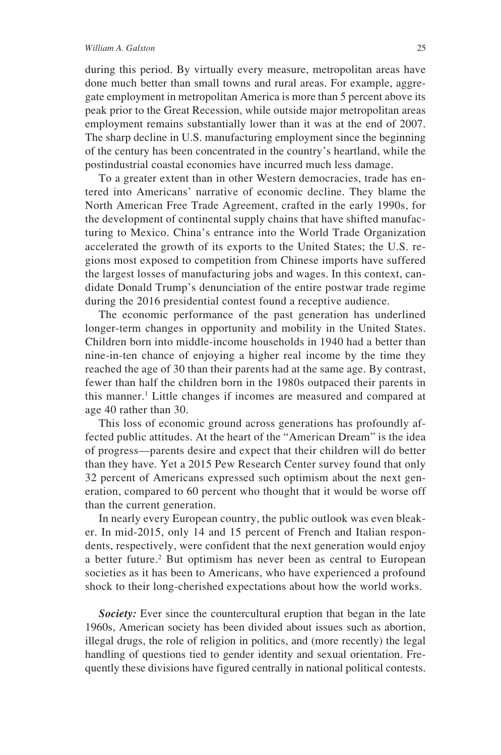#### *William A. Galston* 25

during this period. By virtually every measure, metropolitan areas have done much better than small towns and rural areas. For example, aggregate employment in metropolitan America is more than 5 percent above its peak prior to the Great Recession, while outside major metropolitan areas employment remains substantially lower than it was at the end of 2007. The sharp decline in U.S. manufacturing employment since the beginning of the century has been concentrated in the country's heartland, while the postindustrial coastal economies have incurred much less damage.

To a greater extent than in other Western democracies, trade has entered into Americans' narrative of economic decline. They blame the North American Free Trade Agreement, crafted in the early 1990s, for the development of continental supply chains that have shifted manufacturing to Mexico. China's entrance into the World Trade Organization accelerated the growth of its exports to the United States; the U.S. regions most exposed to competition from Chinese imports have suffered the largest losses of manufacturing jobs and wages. In this context, candidate Donald Trump's denunciation of the entire postwar trade regime during the 2016 presidential contest found a receptive audience.

The economic performance of the past generation has underlined longer-term changes in opportunity and mobility in the United States. Children born into middle-income households in 1940 had a better than nine-in-ten chance of enjoying a higher real income by the time they reached the age of 30 than their parents had at the same age. By contrast, fewer than half the children born in the 1980s outpaced their parents in this manner.1 Little changes if incomes are measured and compared at age 40 rather than 30.

This loss of economic ground across generations has profoundly affected public attitudes. At the heart of the "American Dream" is the idea of progress—parents desire and expect that their children will do better than they have. Yet a 2015 Pew Research Center survey found that only 32 percent of Americans expressed such optimism about the next generation, compared to 60 percent who thought that it would be worse off than the current generation.

In nearly every European country, the public outlook was even bleaker. In mid-2015, only 14 and 15 percent of French and Italian respondents, respectively, were confident that the next generation would enjoy a better future.<sup>2</sup> But optimism has never been as central to European societies as it has been to Americans, who have experienced a profound shock to their long-cherished expectations about how the world works.

**Society:** Ever since the countercultural eruption that began in the late 1960s, American society has been divided about issues such as abortion, illegal drugs, the role of religion in politics, and (more recently) the legal handling of questions tied to gender identity and sexual orientation. Frequently these divisions have figured centrally in national political contests.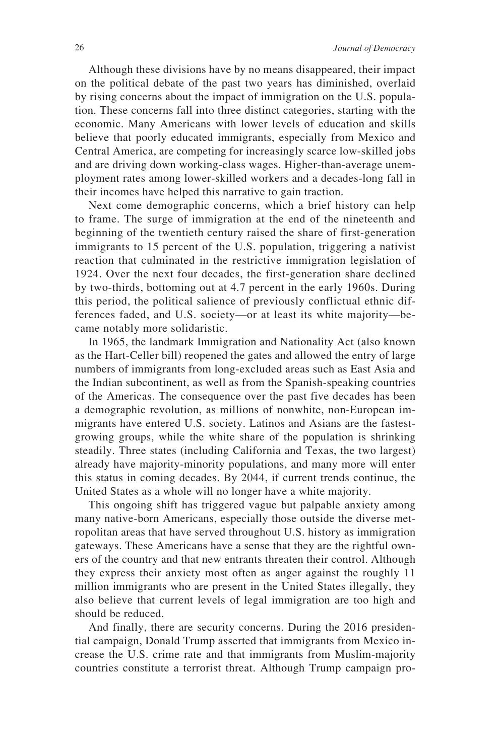Although these divisions have by no means disappeared, their impact on the political debate of the past two years has diminished, overlaid by rising concerns about the impact of immigration on the U.S. population. These concerns fall into three distinct categories, starting with the economic. Many Americans with lower levels of education and skills believe that poorly educated immigrants, especially from Mexico and Central America, are competing for increasingly scarce low-skilled jobs and are driving down working-class wages. Higher-than-average unemployment rates among lower-skilled workers and a decades-long fall in their incomes have helped this narrative to gain traction.

Next come demographic concerns, which a brief history can help to frame. The surge of immigration at the end of the nineteenth and beginning of the twentieth century raised the share of first-generation immigrants to 15 percent of the U.S. population, triggering a nativist reaction that culminated in the restrictive immigration legislation of 1924. Over the next four decades, the first-generation share declined by two-thirds, bottoming out at 4.7 percent in the early 1960s. During this period, the political salience of previously conflictual ethnic differences faded, and U.S. society—or at least its white majority—became notably more solidaristic.

In 1965, the landmark Immigration and Nationality Act (also known as the Hart-Celler bill) reopened the gates and allowed the entry of large numbers of immigrants from long-excluded areas such as East Asia and the Indian subcontinent, as well as from the Spanish-speaking countries of the Americas. The consequence over the past five decades has been a demographic revolution, as millions of nonwhite, non-European immigrants have entered U.S. society. Latinos and Asians are the fastestgrowing groups, while the white share of the population is shrinking steadily. Three states (including California and Texas, the two largest) already have majority-minority populations, and many more will enter this status in coming decades. By 2044, if current trends continue, the United States as a whole will no longer have a white majority.

This ongoing shift has triggered vague but palpable anxiety among many native-born Americans, especially those outside the diverse metropolitan areas that have served throughout U.S. history as immigration gateways. These Americans have a sense that they are the rightful owners of the country and that new entrants threaten their control. Although they express their anxiety most often as anger against the roughly 11 million immigrants who are present in the United States illegally, they also believe that current levels of legal immigration are too high and should be reduced.

And finally, there are security concerns. During the 2016 presidential campaign, Donald Trump asserted that immigrants from Mexico increase the U.S. crime rate and that immigrants from Muslim-majority countries constitute a terrorist threat. Although Trump campaign pro-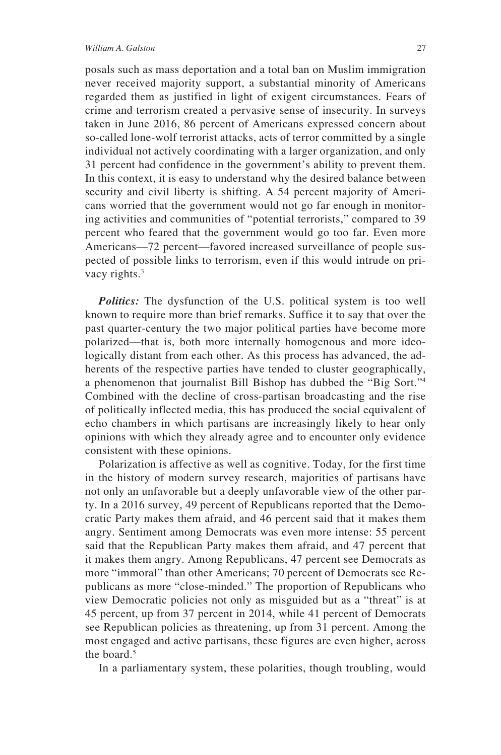#### *William A. Galston* 27

posals such as mass deportation and a total ban on Muslim immigration never received majority support, a substantial minority of Americans regarded them as justified in light of exigent circumstances. Fears of crime and terrorism created a pervasive sense of insecurity. In surveys taken in June 2016, 86 percent of Americans expressed concern about so-called lone-wolf terrorist attacks, acts of terror committed by a single individual not actively coordinating with a larger organization, and only 31 percent had confidence in the government's ability to prevent them. In this context, it is easy to understand why the desired balance between security and civil liberty is shifting. A 54 percent majority of Americans worried that the government would not go far enough in monitoring activities and communities of "potential terrorists," compared to 39 percent who feared that the government would go too far. Even more Americans—72 percent—favored increased surveillance of people suspected of possible links to terrorism, even if this would intrude on privacy rights.3

*Politics:* The dysfunction of the U.S. political system is too well known to require more than brief remarks. Suffice it to say that over the past quarter-century the two major political parties have become more polarized—that is, both more internally homogenous and more ideologically distant from each other. As this process has advanced, the adherents of the respective parties have tended to cluster geographically, a phenomenon that journalist Bill Bishop has dubbed the "Big Sort."4 Combined with the decline of cross-partisan broadcasting and the rise of politically inflected media, this has produced the social equivalent of echo chambers in which partisans are increasingly likely to hear only opinions with which they already agree and to encounter only evidence consistent with these opinions.

Polarization is affective as well as cognitive. Today, for the first time in the history of modern survey research, majorities of partisans have not only an unfavorable but a deeply unfavorable view of the other party. In a 2016 survey, 49 percent of Republicans reported that the Democratic Party makes them afraid, and 46 percent said that it makes them angry. Sentiment among Democrats was even more intense: 55 percent said that the Republican Party makes them afraid, and 47 percent that it makes them angry. Among Republicans, 47 percent see Democrats as more "immoral" than other Americans; 70 percent of Democrats see Republicans as more "close-minded." The proportion of Republicans who view Democratic policies not only as misguided but as a "threat" is at 45 percent, up from 37 percent in 2014, while 41 percent of Democrats see Republican policies as threatening, up from 31 percent. Among the most engaged and active partisans, these figures are even higher, across the board.<sup>5</sup>

In a parliamentary system, these polarities, though troubling, would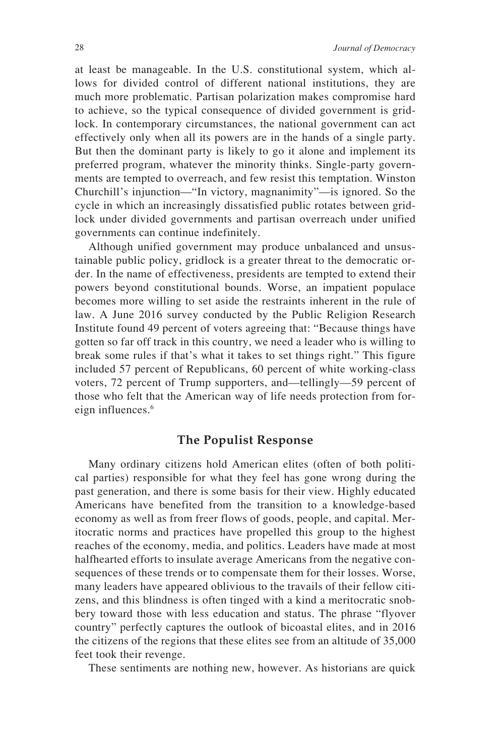at least be manageable. In the U.S. constitutional system, which allows for divided control of different national institutions, they are much more problematic. Partisan polarization makes compromise hard to achieve, so the typical consequence of divided government is gridlock. In contemporary circumstances, the national government can act effectively only when all its powers are in the hands of a single party. But then the dominant party is likely to go it alone and implement its preferred program, whatever the minority thinks. Single-party governments are tempted to overreach, and few resist this temptation. Winston Churchill's injunction—"In victory, magnanimity"—is ignored. So the cycle in which an increasingly dissatisfied public rotates between gridlock under divided governments and partisan overreach under unified governments can continue indefinitely.

Although unified government may produce unbalanced and unsustainable public policy, gridlock is a greater threat to the democratic order. In the name of effectiveness, presidents are tempted to extend their powers beyond constitutional bounds. Worse, an impatient populace becomes more willing to set aside the restraints inherent in the rule of law. A June 2016 survey conducted by the Public Religion Research Institute found 49 percent of voters agreeing that: "Because things have gotten so far off track in this country, we need a leader who is willing to break some rules if that's what it takes to set things right." This figure included 57 percent of Republicans, 60 percent of white working-class voters, 72 percent of Trump supporters, and—tellingly—59 percent of those who felt that the American way of life needs protection from foreign influences.<sup>6</sup>

#### **The Populist Response**

Many ordinary citizens hold American elites (often of both political parties) responsible for what they feel has gone wrong during the past generation, and there is some basis for their view. Highly educated Americans have benefited from the transition to a knowledge-based economy as well as from freer flows of goods, people, and capital. Meritocratic norms and practices have propelled this group to the highest reaches of the economy, media, and politics. Leaders have made at most halfhearted efforts to insulate average Americans from the negative consequences of these trends or to compensate them for their losses. Worse, many leaders have appeared oblivious to the travails of their fellow citizens, and this blindness is often tinged with a kind a meritocratic snobbery toward those with less education and status. The phrase "flyover country" perfectly captures the outlook of bicoastal elites, and in 2016 the citizens of the regions that these elites see from an altitude of 35,000 feet took their revenge.

These sentiments are nothing new, however. As historians are quick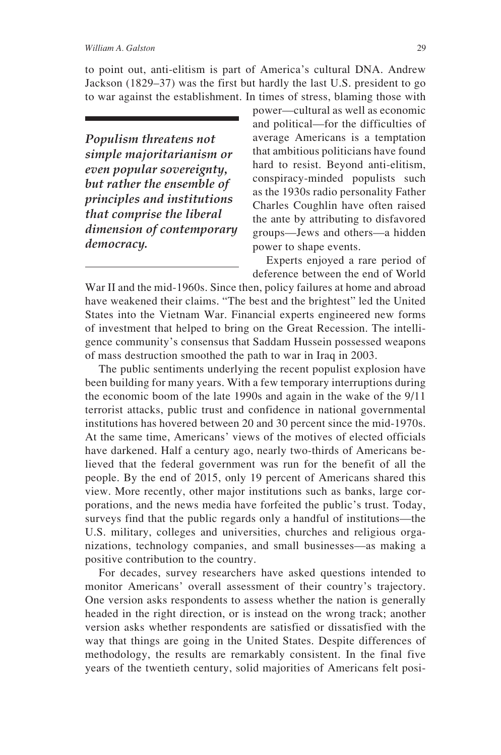to point out, anti-elitism is part of America's cultural DNA. Andrew Jackson (1829–37) was the first but hardly the last U.S. president to go to war against the establishment. In times of stress, blaming those with

*Populism threatens not simple majoritarianism or even popular sovereignty, but rather the ensemble of principles and institutions that comprise the liberal dimension of contemporary democracy.*

power—cultural as well as economic and political—for the difficulties of average Americans is a temptation that ambitious politicians have found hard to resist. Beyond anti-elitism, conspiracy-minded populists such as the 1930s radio personality Father Charles Coughlin have often raised the ante by attributing to disfavored groups—Jews and others—a hidden power to shape events.

Experts enjoyed a rare period of deference between the end of World

War II and the mid-1960s. Since then, policy failures at home and abroad have weakened their claims. "The best and the brightest" led the United States into the Vietnam War. Financial experts engineered new forms of investment that helped to bring on the Great Recession. The intelligence community's consensus that Saddam Hussein possessed weapons of mass destruction smoothed the path to war in Iraq in 2003.

The public sentiments underlying the recent populist explosion have been building for many years. With a few temporary interruptions during the economic boom of the late 1990s and again in the wake of the 9/11 terrorist attacks, public trust and confidence in national governmental institutions has hovered between 20 and 30 percent since the mid-1970s. At the same time, Americans' views of the motives of elected officials have darkened. Half a century ago, nearly two-thirds of Americans believed that the federal government was run for the benefit of all the people. By the end of 2015, only 19 percent of Americans shared this view. More recently, other major institutions such as banks, large corporations, and the news media have forfeited the public's trust. Today, surveys find that the public regards only a handful of institutions—the U.S. military, colleges and universities, churches and religious organizations, technology companies, and small businesses—as making a positive contribution to the country.

For decades, survey researchers have asked questions intended to monitor Americans' overall assessment of their country's trajectory. One version asks respondents to assess whether the nation is generally headed in the right direction, or is instead on the wrong track; another version asks whether respondents are satisfied or dissatisfied with the way that things are going in the United States. Despite differences of methodology, the results are remarkably consistent. In the final five years of the twentieth century, solid majorities of Americans felt posi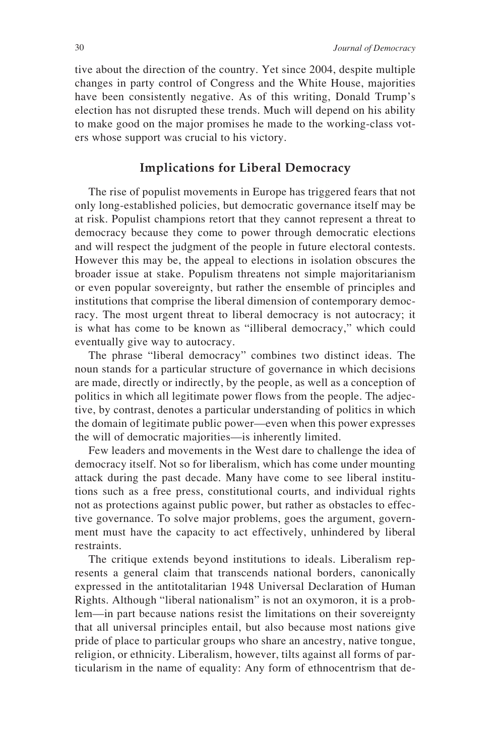tive about the direction of the country. Yet since 2004, despite multiple changes in party control of Congress and the White House, majorities have been consistently negative. As of this writing, Donald Trump's election has not disrupted these trends. Much will depend on his ability to make good on the major promises he made to the working-class voters whose support was crucial to his victory.

#### **Implications for Liberal Democracy**

The rise of populist movements in Europe has triggered fears that not only long-established policies, but democratic governance itself may be at risk. Populist champions retort that they cannot represent a threat to democracy because they come to power through democratic elections and will respect the judgment of the people in future electoral contests. However this may be, the appeal to elections in isolation obscures the broader issue at stake. Populism threatens not simple majoritarianism or even popular sovereignty, but rather the ensemble of principles and institutions that comprise the liberal dimension of contemporary democracy. The most urgent threat to liberal democracy is not autocracy; it is what has come to be known as "illiberal democracy," which could eventually give way to autocracy.

The phrase "liberal democracy" combines two distinct ideas. The noun stands for a particular structure of governance in which decisions are made, directly or indirectly, by the people, as well as a conception of politics in which all legitimate power flows from the people. The adjective, by contrast, denotes a particular understanding of politics in which the domain of legitimate public power—even when this power expresses the will of democratic majorities—is inherently limited.

Few leaders and movements in the West dare to challenge the idea of democracy itself. Not so for liberalism, which has come under mounting attack during the past decade. Many have come to see liberal institutions such as a free press, constitutional courts, and individual rights not as protections against public power, but rather as obstacles to effective governance. To solve major problems, goes the argument, government must have the capacity to act effectively, unhindered by liberal restraints.

The critique extends beyond institutions to ideals. Liberalism represents a general claim that transcends national borders, canonically expressed in the antitotalitarian 1948 Universal Declaration of Human Rights. Although "liberal nationalism" is not an oxymoron, it is a problem—in part because nations resist the limitations on their sovereignty that all universal principles entail, but also because most nations give pride of place to particular groups who share an ancestry, native tongue, religion, or ethnicity. Liberalism, however, tilts against all forms of particularism in the name of equality: Any form of ethnocentrism that de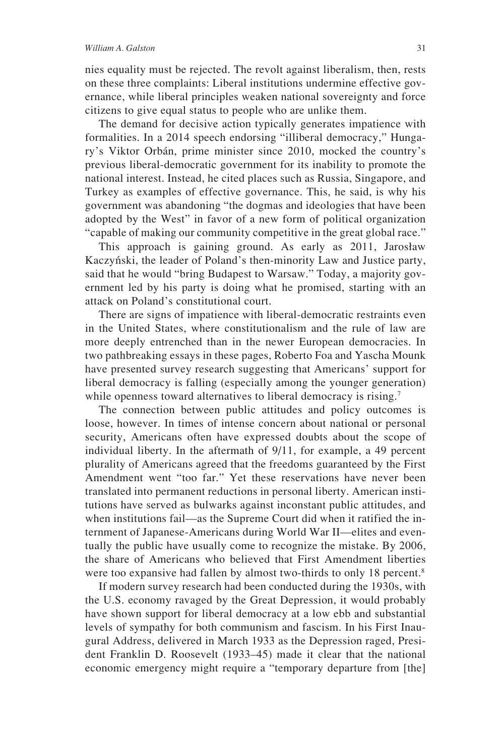nies equality must be rejected. The revolt against liberalism, then, rests on these three complaints: Liberal institutions undermine effective governance, while liberal principles weaken national sovereignty and force citizens to give equal status to people who are unlike them.

The demand for decisive action typically generates impatience with formalities. In a 2014 speech endorsing "illiberal democracy," Hungary's Viktor Orbán, prime minister since 2010, mocked the country's previous liberal-democratic government for its inability to promote the national interest. Instead, he cited places such as Russia, Singapore, and Turkey as examples of effective governance. This, he said, is why his government was abandoning "the dogmas and ideologies that have been adopted by the West" in favor of a new form of political organization "capable of making our community competitive in the great global race."

This approach is gaining ground. As early as 2011, Jarosław Kaczyński, the leader of Poland's then-minority Law and Justice party, said that he would "bring Budapest to Warsaw." Today, a majority government led by his party is doing what he promised, starting with an attack on Poland's constitutional court.

There are signs of impatience with liberal-democratic restraints even in the United States, where constitutionalism and the rule of law are more deeply entrenched than in the newer European democracies. In two pathbreaking essays in these pages, Roberto Foa and Yascha Mounk have presented survey research suggesting that Americans' support for liberal democracy is falling (especially among the younger generation) while openness toward alternatives to liberal democracy is rising.<sup>7</sup>

The connection between public attitudes and policy outcomes is loose, however. In times of intense concern about national or personal security, Americans often have expressed doubts about the scope of individual liberty. In the aftermath of 9/11, for example, a 49 percent plurality of Americans agreed that the freedoms guaranteed by the First Amendment went "too far." Yet these reservations have never been translated into permanent reductions in personal liberty. American institutions have served as bulwarks against inconstant public attitudes, and when institutions fail—as the Supreme Court did when it ratified the internment of Japanese-Americans during World War II—elites and eventually the public have usually come to recognize the mistake. By 2006, the share of Americans who believed that First Amendment liberties were too expansive had fallen by almost two-thirds to only 18 percent.<sup>8</sup>

If modern survey research had been conducted during the 1930s, with the U.S. economy ravaged by the Great Depression, it would probably have shown support for liberal democracy at a low ebb and substantial levels of sympathy for both communism and fascism. In his First Inaugural Address, delivered in March 1933 as the Depression raged, President Franklin D. Roosevelt (1933–45) made it clear that the national economic emergency might require a "temporary departure from [the]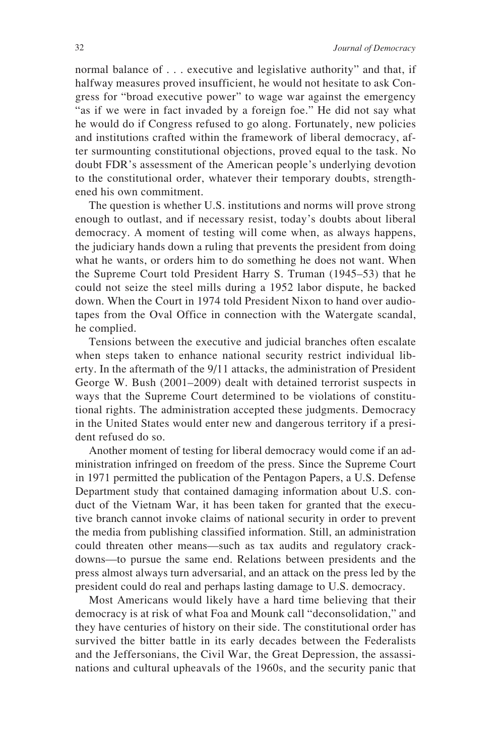normal balance of . . . executive and legislative authority" and that, if halfway measures proved insufficient, he would not hesitate to ask Congress for "broad executive power" to wage war against the emergency "as if we were in fact invaded by a foreign foe." He did not say what he would do if Congress refused to go along. Fortunately, new policies and institutions crafted within the framework of liberal democracy, after surmounting constitutional objections, proved equal to the task. No doubt FDR's assessment of the American people's underlying devotion to the constitutional order, whatever their temporary doubts, strengthened his own commitment.

The question is whether U.S. institutions and norms will prove strong enough to outlast, and if necessary resist, today's doubts about liberal democracy. A moment of testing will come when, as always happens, the judiciary hands down a ruling that prevents the president from doing what he wants, or orders him to do something he does not want. When the Supreme Court told President Harry S. Truman (1945–53) that he could not seize the steel mills during a 1952 labor dispute, he backed down. When the Court in 1974 told President Nixon to hand over audiotapes from the Oval Office in connection with the Watergate scandal, he complied.

Tensions between the executive and judicial branches often escalate when steps taken to enhance national security restrict individual liberty. In the aftermath of the 9/11 attacks, the administration of President George W. Bush (2001–2009) dealt with detained terrorist suspects in ways that the Supreme Court determined to be violations of constitutional rights. The administration accepted these judgments. Democracy in the United States would enter new and dangerous territory if a president refused do so.

Another moment of testing for liberal democracy would come if an administration infringed on freedom of the press. Since the Supreme Court in 1971 permitted the publication of the Pentagon Papers, a U.S. Defense Department study that contained damaging information about U.S. conduct of the Vietnam War, it has been taken for granted that the executive branch cannot invoke claims of national security in order to prevent the media from publishing classified information. Still, an administration could threaten other means—such as tax audits and regulatory crackdowns—to pursue the same end. Relations between presidents and the press almost always turn adversarial, and an attack on the press led by the president could do real and perhaps lasting damage to U.S. democracy.

Most Americans would likely have a hard time believing that their democracy is at risk of what Foa and Mounk call "deconsolidation," and they have centuries of history on their side. The constitutional order has survived the bitter battle in its early decades between the Federalists and the Jeffersonians, the Civil War, the Great Depression, the assassinations and cultural upheavals of the 1960s, and the security panic that